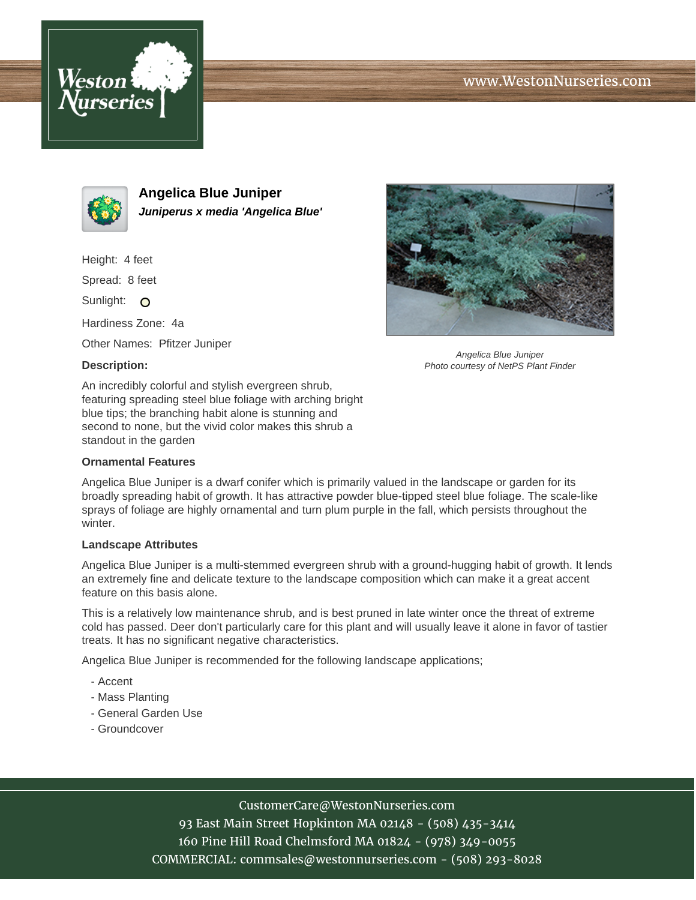





**Angelica Blue Juniper Juniperus x media 'Angelica Blue'**

Height: 4 feet

Spread: 8 feet

Sunlight: O

Hardiness Zone: 4a

Other Names: Pfitzer Juniper

### **Description:**



Angelica Blue Juniper Photo courtesy of NetPS Plant Finder

An incredibly colorful and stylish evergreen shrub, featuring spreading steel blue foliage with arching bright blue tips; the branching habit alone is stunning and second to none, but the vivid color makes this shrub a standout in the garden

#### **Ornamental Features**

Angelica Blue Juniper is a dwarf conifer which is primarily valued in the landscape or garden for its broadly spreading habit of growth. It has attractive powder blue-tipped steel blue foliage. The scale-like sprays of foliage are highly ornamental and turn plum purple in the fall, which persists throughout the winter.

#### **Landscape Attributes**

Angelica Blue Juniper is a multi-stemmed evergreen shrub with a ground-hugging habit of growth. It lends an extremely fine and delicate texture to the landscape composition which can make it a great accent feature on this basis alone.

This is a relatively low maintenance shrub, and is best pruned in late winter once the threat of extreme cold has passed. Deer don't particularly care for this plant and will usually leave it alone in favor of tastier treats. It has no significant negative characteristics.

Angelica Blue Juniper is recommended for the following landscape applications;

- Accent
- Mass Planting
- General Garden Use
- Groundcover

## CustomerCare@WestonNurseries.com

93 East Main Street Hopkinton MA 02148 - (508) 435-3414 160 Pine Hill Road Chelmsford MA 01824 - (978) 349-0055 COMMERCIAL: commsales@westonnurseries.com - (508) 293-8028